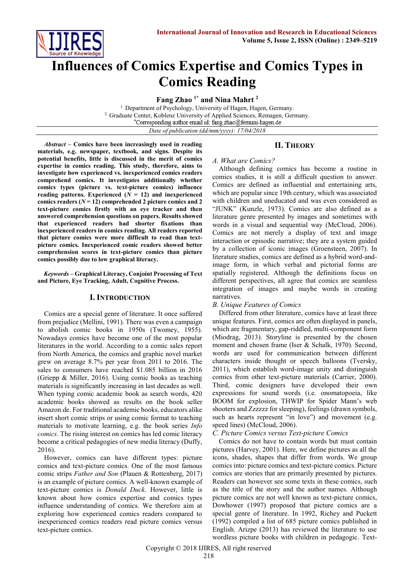

# **Influences of Comics Expertise and Comics Types in Comics Reading**

**Fang Zhao 1\* and Nina Mahrt <sup>2</sup>**

<sup>1.</sup> Department of Psychology, University of Hagen, Hagen, Germany. 2. Graduate Center, Koblenz University of Applied Sciences, Remagen, Germany. \*Corresponding author email id: fang.zhao@fernuni-hagen.de *Date of publication (dd/mm/yyyy): 17/04/2018*

#### *Abstract* **– Comics have been increasingly used in reading materials, e.g. newspaper, textbook, and signs. Despite its potential benefits, little is discussed in the merit of comics expertise in comics reading. This study, therefore, aims to investigate how experienced vs. inexperienced comics readers comprehend comics. It investigates additionally whether comics types (picture vs. text-picture comics) influence**  reading patterns. Experienced  $(N = 12)$  and inexperienced **comics readers (***N* **= 12) comprehended 2 picture comics and 2 text-picture comics firstly with an eye tracker and then answered comprehension questions on papers. Results showed that experienced readers had shorter fixations than inexperienced readers in comics reading. All readers reported that picture comics were more difficult to read than textpicture comics. Inexperienced comic readers showed better comprehension scores in text-picture comics than picture comics possibly due to low graphical literacy.**

*Keywords* **– Graphical Literacy, Conjoint Processing of Text and Picture, Eye Tracking, Adult, Cognitive Process.**

# **I. INTRODUCTION**

Comics are a special genre of literature. It once suffered from prejudice (Mellini, 1991). There was even a campaign to abolish comic books in 1950s (Twomey, 1955). Nowadays comics have become one of the most popular literatures in the world. According to a comic sales report from North America, the comics and graphic novel market grew on average 8.7% per year from 2011 to 2016. The sales to consumers have reached \$1.085 billion in 2016 (Griepp & Miller, 2016). Using comic books as teaching materials is significantly increasing in last decades as well. When typing comic academic book as search words, 420 academic books showed as results on the book seller Amazon.de. For traditional academic books, educators alike insert short comic strips or using comic format to teaching materials to motivate learning, e.g. the book series *Info comics*. The rising interest on comics has led comic literacy become a critical pedagogies of new media literacy (Duffy, 2016).

However, comics can have different types: picture comics and text-picture comics. One of the most famous comic strips *Father and Son* (Plauen & Rottenberg, 2017) is an example of picture comics. A well-known example of text-picture comics is *Donald Duck*. However, little is known about how comics expertise and comics types influence understanding of comics. We therefore aim at exploring how experienced comics readers compared to inexperienced comics readers read picture comics versus text-picture comics.

# **II. THEORY**

## *A. What are Comics?*

Although defining comics has become a routine in comics studies, it is still a difficult question to answer. Comics are defined as influential and entertaining arts, which are popular since 19th century, which was associated with children and uneducated and was even considered as "JUNK" (Kunzle, 1973). Comics are also defined as a literature genre presented by images and sometimes with words in a visual and sequential way (McCloud, 2006). Comics are not merely a display of text and image interaction or episodic narrative; they are a system guided by a collection of iconic images (Groensteen, 2007). In literature studies, comics are defined as a hybrid word-andimage form, in which verbal and pictorial forms are spatially registered. Although the definitions focus on different perspectives, all agree that comics are seamless integration of images and maybe words in creating narratives.

# *B. Unique Features of Comics*

Differed from other literature, comics have at least three unique features. First, comics are often displayed in panels, which are fragmentary, gap-riddled, multi-component form (Miodrag, 2013). Storyline is presented by the chosen moment and chosen frame (Iser & Schalk, 1970). Second, words are used for communication between different characters inside thought or speech balloons (Tversky, 2011), which establish word-image unity and distinguish comics from other text-picture materials (Carrier, 2000). Third, comic designers have developed their own expressions for sound words (i.e. onomatopoeia, like BOOM for explosion, THWIP for Spider Mann's web shooters and Zzzzzz for sleeping), feelings (drawn symbols, such as hearts represent "in love") and movement (e.g. speed lines) (McCloud, 2006).

# *C. Picture Comics versus Text-picture Comics*

Comics do not have to contain words but must contain pictures (Harvey, 2001). Here, we define pictures as all the icons, shades, shapes that differ from words. We group comics into: picture comics and text-picture comics. Picture comics are stories that are primarily presented by pictures. Readers can however see some texts in these comics, such as the title of the story and the author names. Although picture comics are not well known as text-picture comics, Dowhower (1997) proposed that picture comics are a special genre of literature. In 1992, Richey and Puckett (1992) compiled a list of 685 picture comics published in English. Arizpe (2013) has reviewed the literature to use wordless picture books with children in pedagogic. Text-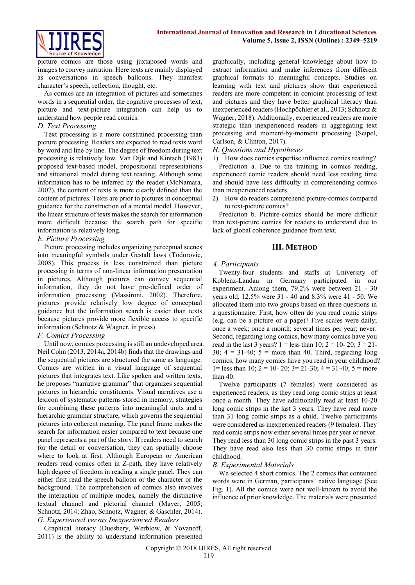

picture comics are those using juxtaposed words and images to convey narration. Here texts are mainly displayed as conversations in speech balloons. They manifest character's speech, reflection, thought, etc.

As comics are an integration of pictures and sometimes words in a sequential order, the cognitive processes of text, picture and text-picture integration can help us to understand how people read comics.

## *D. Text Processing*

Text processing is a more constrained processing than picture processing. Readers are expected to read texts word by word and line by line. The degree of freedom during text processing is relatively low. Van Dijk and Kintsch (1983) proposed text-based model, propositional representations and situational model during text reading. Although some information has to be inferred by the reader (McNamara, 2007), the content of texts is more clearly defined than the content of pictures. Texts are prior to pictures in conceptual guidance for the construction of a mental model. However, the linear structure of texts makes the search for information more difficult because the search path for specific information is relatively long.

## *E. Picture Processing*

Picture processing includes organizing perceptual scenes into meaningful symbols under Gestalt laws (Todorovic, 2008). This process is less constrained than picture processing in terms of non-linear information presentation in pictures. Although pictures can convey sequential information, they do not have pre-defined order of information processing (Massironi, 2002). Therefore, pictures provide relatively low degree of conceptual guidance but the information search is easier than texts because pictures provide more flexible access to specific information (Schnotz & Wagner, in press).

#### *F. Comics Processing*

Until now, comics processing is still an undeveloped area. Neil Cohn (2013, 2014a, 2014b) finds that the drawings and the sequential pictures are structured the same as language. Comics are written in a visual language of sequential pictures that integrates text. Like spoken and written texts, he proposes "narrative grammar" that organizes sequential pictures in hierarchic constituents. Visual narratives use a lexicon of systematic patterns stored in memory, strategies for combining these patterns into meaningful units and a hierarchic grammar structure, which governs the sequential pictures into coherent meaning. The panel frame makes the search for information easier compared to text because one panel represents a part of the story. If readers need to search for the detail or conversation, they can spatially choose where to look at first. Although European or American readers read comics often in Z-path, they have relatively high degree of freedom in reading a single panel. They can either first read the speech balloon or the character or the background. The comprehension of comics also involves the interaction of multiple modes, namely the distinctive textual channel and pictorial channel (Mayer, 2005; Schnotz, 2014; Zhao, Schnotz, Wagner, & Gaschler, 2014). *G. Experienced versus Inexperienced Readers*

Graphical literacy (Duesbery, Werblow, & Yovanoff, 2011) is the ability to understand information presented graphically, including general knowledge about how to extract information and make inferences from different graphical formats to meaningful concepts. Studies on learning with text and pictures show that experienced readers are more competent in conjoint processing of text and pictures and they have better graphical literacy than inexperienced readers (Hochpöchler et al., 2013; Schnotz & Wagner, 2018). Additionally, experienced readers are more strategic than inexperienced readers in aggregating text processing and moment-by-moment processing (Seipel, Carlson, & Clinton, 2017).

## *H. Questions and Hypotheses*

1) How does comics expertise influence comics reading? Prediction a. Due to the training in comics reading, experienced comic readers should need less reading time and should have less difficulty in comprehending comics than inexperienced readers.

2) How do readers comprehend picture-comics compared to text-picture comics?

Prediction b. Picture-comics should be more difficult than text-picture comics for readers to understand due to lack of global coherence guidance from text.

## **III. METHOD**

#### *A. Participants*

Twenty-four students and staffs at University of Koblenz-Landau in Germany participated in our experiment. Among them, 79.2% were between 21 - 30 years old, 12.5% were 31 - 40 and 8.3% were 41 - 50. We allocated them into two groups based on three questions in a questionnaire. First, how often do you read comic strips (e.g. can be a picture or a page)? Five scales were daily; once a week; once a month; several times per year; never. Second, regarding long comics, how many comics have you read in the last 3 years?  $1 =$  less than 10;  $2 = 10 - 20$ ;  $3 = 21 -$ 30;  $4 = 31-40$ ;  $5 =$  more than 40. Third, regarding long comics, how many comics have you read in your childhood? 1= less than 10; 2 = 10- 20; 3= 21-30; 4 = 31-40; 5 = more than 40.

Twelve participants (7 females) were considered as experienced readers, as they read long comic strips at least once a month. They have additionally read at least 10-20 long comic strips in the last 3 years. They have read more than 31 long comic strips as a child. Twelve participants were considered as inexperienced readers (9 females). They read comic strips now either several times per year or never. They read less than 30 long comic strips in the past 3 years. They have read also less than 30 comic strips in their childhood.

## *B. Experimental Materials*

We selected 4 short comics. The 2 comics that contained words were in German, participants' native language (See Fig. 1). All the comics were not well-known to avoid the influence of prior knowledge. The materials were presented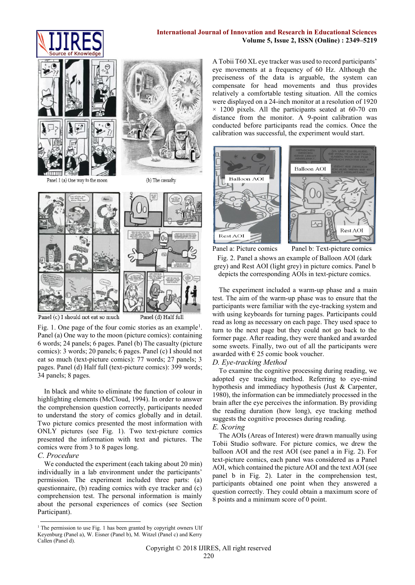



Panel 1 (a) One way to the moon



(b) The casualty



Panel (c) I should not eat so much

Fig. 1. One page of the four comic stories as an example<sup>1</sup>. Panel (a) One way to the moon (picture comics): containing 6 words; 24 panels; 6 pages. Panel (b) The casualty (picture comics): 3 words; 20 panels; 6 pages. Panel (c) I should not eat so much (text-picture comics): 77 words; 27 panels; 3 pages. Panel (d) Half full (text-picture comics): 399 words; 34 panels; 8 pages.

In black and white to eliminate the function of colour in highlighting elements (McCloud, 1994). In order to answer the comprehension question correctly, participants needed to understand the story of comics globally and in detail. Two picture comics presented the most information with ONLY pictures (see Fig. 1). Two text-picture comics presented the information with text and pictures. The comics were from 3 to 8 pages long.

#### *C. Procedure*

We conducted the experiment (each taking about 20 min) individually in a lab environment under the participants' permission. The experiment included three parts: (a) questionnaire, (b) reading comics with eye tracker and (c) comprehension test. The personal information is mainly about the personal experiences of comics (see Section Participant).

-<sup>1</sup> The permission to use Fig. 1 has been granted by copyright owners Ulf Keyenburg (Panel a), W. Eisner (Panel b), M. Witzel (Panel c) and Kerry Callen (Panel d).

A Tobii T60 XL eye tracker was used to record participants' eye movements at a frequency of 60 Hz. Although the preciseness of the data is arguable, the system can compensate for head movements and thus provides relatively a comfortable testing situation. All the comics were displayed on a 24-inch monitor at a resolution of 1920  $\times$  1200 pixels. All the participants seated at 60-70 cm distance from the monitor. A 9-point calibration was conducted before participants read the comics. Once the calibration was successful, the experiment would start.



Panel a: Picture comics Panel b: Text-picture comics

Fig. 2. Panel a shows an example of Balloon AOI (dark grey) and Rest AOI (light grey) in picture comics. Panel b depicts the corresponding AOIs in text-picture comics.

The experiment included a warm-up phase and a main test. The aim of the warm-up phase was to ensure that the participants were familiar with the eye-tracking system and with using keyboards for turning pages. Participants could read as long as necessary on each page. They used space to turn to the next page but they could not go back to the former page. After reading, they were thanked and awarded some sweets. Finally, two out of all the participants were awarded with  $\epsilon$  25 comic book voucher.

## *D. Eye-tracking Method*

To examine the cognitive processing during reading, we adopted eye tracking method. Referring to eye-mind hypothesis and immediacy hypothesis (Just & Carpenter, 1980), the information can be immediately processed in the brain after the eye perceives the information. By providing the reading duration (how long), eye tracking method suggests the cognitive processes during reading.

## *E. Scoring*

The AOIs (Areas of Interest) were drawn manually using Tobii Studio software. For picture comics, we drew the balloon AOI and the rest AOI (see panel a in Fig. 2). For text-picture comics, each panel was considered as a Panel AOI, which contained the picture AOI and the text AOI (see panel b in Fig. 2). Later in the comprehension test, participants obtained one point when they answered a question correctly. They could obtain a maximum score of 8 points and a minimum score of 0 point.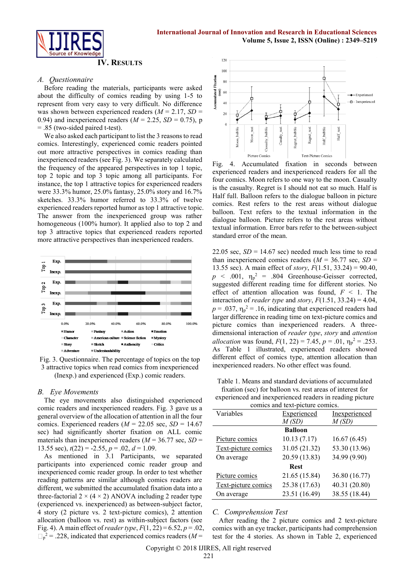

#### **IV. RESULTS**

#### *A. Questionnaire*

Before reading the materials, participants were asked about the difficulty of comics reading by using 1-5 to represent from very easy to very difficult. No difference was shown between experienced readers  $(M = 2.17, SD =$ 0.94) and inexperienced readers  $(M = 2.25, SD = 0.75)$ , p = .85 (two-sided paired t-test).

We also asked each participant to list the 3 reasons to read comics. Interestingly, experienced comic readers pointed out more attractive perspectives in comics reading than inexperienced readers (see Fig. 3). We separately calculated the frequency of the appeared perspectives in top 1 topic, top 2 topic and top 3 topic among all participants. For instance, the top 1 attractive topics for experienced readers were 33.3% humor, 25.0% fantasy, 25.0% story and 16.7% sketches. 33.3% humor referred to 33.3% of twelve experienced readers reported humor as top 1 attractive topic. The answer from the inexperienced group was rather homogeneous (100% humor). It applied also to top 2 and top 3 attractive topics that experienced readers reported more attractive perspectives than inexperienced readers.



Fig. 3. Questionnaire. The percentage of topics on the top 3 attractive topics when read comics from inexperienced (Inexp.) and experienced (Exp.) comic readers.

#### *B. Eye Movements*

The eye movements also distinguished experienced comic readers and inexperienced readers. Fig. 3 gave us a general overview of the allocation of attention in all the four comics. Experienced readers  $(M = 22.05 \text{ sec}, SD = 14.67)$ sec) had significantly shorter fixation on ALL comic materials than inexperienced readers  $(M = 36.77 \text{ sec}, SD =$ 13.55 sec),  $t(22) = -2.55$ ,  $p = .02$ ,  $d = 1.09$ .

As mentioned in 3.1 Participants, we separated participants into experienced comic reader group and inexperienced comic reader group. In order to test whether reading patterns are similar although comics readers are different, we submitted the accumulated fixation data into a three-factorial  $2 \times (4 \times 2)$  ANOVA including 2 reader type (experienced vs. inexperienced) as between-subject factor, 4 story (2 picture vs. 2 text-picture comics), 2 attention allocation (balloon vs. rest) as within-subject factors (see Fig. 4). A main effect of *reader type*, *F*(1, 22) = 6.52, *p* = .02,  $p<sup>2</sup> = .228$ , indicated that experienced comics readers ( $M =$ 



Fig. 4. Accumulated fixation in seconds between experienced readers and inexperienced readers for all the four comics. Moon refers to one way to the moon. Casualty is the casualty. Regret is I should not eat so much. Half is Half full. Balloon refers to the dialogue balloon in picture comics. Rest refers to the rest areas without dialogue balloon. Text refers to the textual information in the dialogue balloon. Picture refers to the rest areas without textual information. Error bars refer to the between-subject standard error of the mean.

22.05 sec,  $SD = 14.67$  sec) needed much less time to read than inexperienced comics readers  $(M = 36.77 \text{ sec}, SD =$ 13.55 sec). A main effect of *story*, *F*(1.51, 33.24) = 90.40,  $p \sim .001$ ,  $\eta_p^2 = .804$  Greenhouse-Geisser corrected, suggested different reading time for different stories. No effect of attention allocation was found,  $F < 1$ . The interaction of *reader type* and *story*,  $F(1.51, 33.24) = 4.04$ ,  $p = .037$ ,  $\eta_p^2 = .16$ , indicating that experienced readers had larger difference in reading time on text-picture comics and picture comics than inexperienced readers. A threedimensional interaction of *reader type*, *story* and *attention allocation* was found,  $F(1, 22) = 7.45$ ,  $p = .01$ ,  $\eta_p^2 = .253$ . As Table 1 illustrated, experienced readers showed different effect of comics type, attention allocation than inexperienced readers. No other effect was found.

Table 1. Means and standard deviations of accumulated fixation (sec) for balloon vs. rest areas of interest for experienced and inexperienced readers in reading picture comics and text-picture comics.

| connes and text-picture connes. |               |               |
|---------------------------------|---------------|---------------|
| Variables                       | Experienced   | Inexperienced |
|                                 | M(SD)         | M(SD)         |
| <b>Balloon</b>                  |               |               |
| Picture comics                  | 10.13(7.17)   | 16.67(6.45)   |
| Text-picture comics             | 31.05 (21.32) | 53.30 (13.96) |
| On average                      | 20.59 (13.83) | 34.99 (9.90)  |
| <b>Rest</b>                     |               |               |
| Picture comics                  | 21.65 (15.84) | 36.80 (16.77) |
| Text-picture comics             | 25.38 (17.63) | 40.31 (20.80) |
| On average                      | 23.51 (16.49) | 38.55 (18.44) |

#### *C. Comprehension Test*

After reading the 2 picture comics and 2 text-picture comics with an eye tracker, participants had comprehension test for the 4 stories. As shown in Table 2, experienced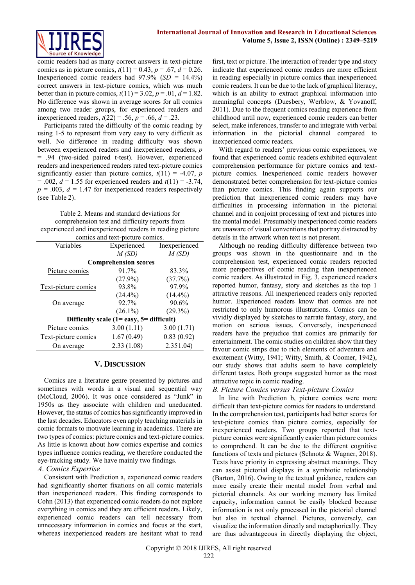

comic readers had as many correct answers in text-picture comics as in picture comics,  $t(11) = 0.43$ ,  $p = .67$ ,  $d = 0.26$ . Inexperienced comic readers had 97.9% (*SD* = 14.4%) correct answers in text-picture comics, which was much better than in picture comics,  $t(11) = 3.02$ ,  $p = .01$ ,  $d = 1.82$ . No difference was shown in average scores for all comics among two reader groups, for experienced readers and inexperienced readers,  $t(22) = .56$ ,  $p = .66$ ,  $d = .23$ .

Participants rated the difficulty of the comic reading by using 1-5 to represent from very easy to very difficult as well. No difference in reading difficulty was shown between experienced readers and inexperienced readers, *p* = .94 (two-sided paired t-test). However, experienced readers and inexperienced readers rated text-picture comics significantly easier than picture comics,  $t(11) = -4.07$ , *p*  $= .002, d = 1.55$  for experienced readers and  $t(11) = -3.74$ ,  $p = .003$ ,  $d = 1.47$  for inexperienced readers respectively (see Table 2).

Table 2. Means and standard deviations for comprehension test and difficulty reports from experienced and inexperienced readers in reading picture

| comics and text-picture comics.              |                    |               |  |
|----------------------------------------------|--------------------|---------------|--|
| Variables                                    | <b>Experienced</b> | Inexperienced |  |
|                                              | M(SD)              | M(SD)         |  |
| <b>Comprehension scores</b>                  |                    |               |  |
| Picture comics                               | 91.7%              | 83.3%         |  |
|                                              | $(27.9\%)$         | (37.7%)       |  |
| Text-picture comics                          | 93.8%              | 97.9%         |  |
|                                              | $(24.4\%)$         | $(14.4\%)$    |  |
| On average                                   | 92.7%              | 90.6%         |  |
|                                              | $(26.1\%)$         | $(29.3\%)$    |  |
| Difficulty scale $(1 = easy, 5 =$ difficult) |                    |               |  |
| Picture comics                               | 3.00(1.11)         | 3.00(1.71)    |  |
| Text-picture comics                          | 1.67(0.49)         | 0.83(0.92)    |  |
| On average                                   | 2.33(1.08)         | 2.351.04      |  |

## **V. DISCUSSION**

Comics are a literature genre presented by pictures and sometimes with words in a visual and sequential way (McCloud, 2006). It was once considered as "Junk" in 1950s as they associate with children and uneducated. However, the status of comics has significantly improved in the last decades. Educators even apply teaching materials in comic formats to motivate learning in academics. There are two types of comics: picture comics and text-picture comics. As little is known about how comics expertise and comics types influence comics reading, we therefore conducted the eye-tracking study. We have mainly two findings.

## *A. Comics Expertise*

Consistent with Prediction a, experienced comic readers had significantly shorter fixations on all comic materials than inexperienced readers. This finding corresponds to Cohn (2013) that experienced comic readers do not explore everything in comics and they are efficient readers. Likely, experienced comic readers can tell necessary from unnecessary information in comics and focus at the start, whereas inexperienced readers are hesitant what to read first, text or picture. The interaction of reader type and story indicate that experienced comic readers are more efficient in reading especially in picture comics than inexperienced comic readers. It can be due to the lack of graphical literacy, which is an ability to extract graphical information into meaningful concepts (Duesbery, Werblow, & Yovanoff, 2011). Due to the frequent comics reading experience from childhood until now, experienced comic readers can better select, make inferences, transfer to and integrate with verbal information in the pictorial channel compared to inexperienced comic readers.

With regard to readers' previous comic experiences, we found that experienced comic readers exhibited equivalent comprehension performance for picture comics and textpicture comics. Inexperienced comic readers however demonstrated better comprehension for text-picture comics than picture comics. This finding again supports our prediction that inexperienced comic readers may have difficulties in processing information in the pictorial channel and in conjoint processing of text and pictures into the mental model. Presumably inexperienced comic readers are unaware of visual conventions that portray distracted by details in the artwork when text is not present.

Although no reading difficulty difference between two groups was shown in the questionnaire and in the comprehension test, experienced comic readers reported more perspectives of comic reading than inexperienced comic readers. As illustrated in Fig. 3, experienced readers reported humor, fantasy, story and sketches as the top 1 attractive reasons. All inexperienced readers only reported humor. Experienced readers know that comics are not restricted to only humorous illustrations. Comics can be vividly displayed by sketches to narrate fantasy, story, and motion on serious issues. Conversely, inexperienced readers have the prejudice that comics are primarily for entertainment. The comic studies on children show that they favour comic strips due to rich elements of adventure and excitement (Witty, 1941; Witty, Smith, & Coomer, 1942), our study shows that adults seem to have completely different tastes. Both groups suggested humor as the most attractive topic in comic reading.

#### *B. Picture Comics versus Text-picture Comics*

In line with Prediction b, picture comics were more difficult than text-picture comics for readers to understand. In the comprehension test, participants had better scores for text-picture comics than picture comics, especially for inexperienced readers. Two groups reported that textpicture comics were significantly easier than picture comics to comprehend. It can be due to the different cognitive functions of texts and pictures (Schnotz & Wagner, 2018). Texts have priority in expressing abstract meanings. They can assist pictorial displays in a symbiotic relationship (Barton, 2016). Owing to the textual guidance, readers can more easily create their mental model from verbal and pictorial channels. As our working memory has limited capacity, information cannot be easily blocked because information is not only processed in the pictorial channel but also in textual channel. Pictures, conversely, can visualize the information directly and metaphorically. They are thus advantageous in directly displaying the object,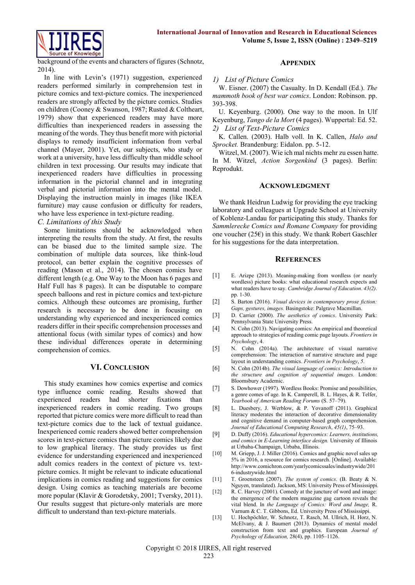

background of the events and characters of figures (Schnotz, 2014).

In line with Levin's (1971) suggestion, experienced readers performed similarly in comprehension test in picture comics and text-picture comics. The inexperienced readers are strongly affected by the picture comics. Studies on children (Cooney & Swanson, 1987; Rusted & Coltheart, 1979) show that experienced readers may have more difficulties than inexperienced readers in assessing the meaning of the words. They thus benefit more with pictorial displays to remedy insufficient information from verbal channel (Mayer, 2001). Yet, our subjects, who study or work at a university, have less difficulty than middle school children in text processing. Our results may indicate that inexperienced readers have difficulties in processing information in the pictorial channel and in integrating verbal and pictorial information into the mental model. Displaying the instruction mainly in images (like IKEA furniture) may cause confusion or difficulty for readers, who have less experience in text-picture reading.

## *C. Limitations of this Study*

Some limitations should be acknowledged when interpreting the results from the study. At first, the results can be biased due to the limited sample size. The combination of multiple data sources, like think-loud protocol, can better explain the cognitive processes of reading (Mason et al., 2014). The chosen comics have different length (e.g. One Way to the Moon has 6 pages and Half Full has 8 pages). It can be disputable to compare speech balloons and rest in picture comics and text-picture comics. Although these outcomes are promising, further research is necessary to be done in focusing on understanding why experienced and inexperienced comics readers differ in their specific comprehension processes and attentional focus (with similar types of comics) and how these individual differences operate in determining comprehension of comics.

# **VI. CONCLUSION**

This study examines how comics expertise and comics type influence comic reading. Results showed that experienced readers had shorter fixations than inexperienced readers in comic reading. Two groups reported that picture comics were more difficult to read than text-picture comics due to the lack of textual guidance. Inexperienced comic readers showed better comprehension scores in text-picture comics than picture comics likely due to low graphical literacy. The study provides us first evidence for understanding experienced and inexperienced adult comics readers in the context of picture vs. textpicture comics. It might be relevant to indicate educational implications in comics reading and suggestions for comics design. Using comics as teaching materials are become more popular (Klavir & Gorodetsky, 2001; Tversky, 2011). Our results suggest that picture-only materials are more difficult to understand than text-picture materials.

# **APPENDIX**

## *1) List of Picture Comics*

W. Eisner. (2007) the Casualty. In D. Kendall (Ed.). *The mammoth book of best war comics*. London: Robinson. pp. 393-398.

U. Keyenburg. (2000). One way to the moon. In Ulf Keyenburg, *Tango de la Mort* (4 pages). Wuppertal: Ed. 52. *2) List of Text-Picture Comics*

K. Callen. (2003). Halb voll. In K. Callen, *Halo and Sprocket.* Brandenburg: Eidalon. pp. 5-12.

Witzel, M. (2007). Wie ich mal nichts mehr zu essen hatte. In M. Witzel, *Action Sorgenkind* (3 pages). Berlin: Reprodukt.

## **ACKNOWLEDGMENT**

We thank Heidrun Ludwig for providing the eye tracking laboratory and colleagues at Upgrade School at University of Koblenz-Landau for participating this study. Thanks for *Sammlerecke Comics und Romane Company* for providing one voucher (25 $\varepsilon$ ) in this study. We thank Robert Gaschler for his suggestions for the data interpretation.

## **REFERENCES**

- [1] E. Arizpe (2013). Meaning-making from wordless (or nearly wordless) picture books: what educational research expects and what readers have to say. *Cambridge Journal of Education*. *43(2)*. pp. 1-30.
- [2] S. Barton (2016). *Visual devices in contemporary prose fiction: Gaps, gestures, images.* Basingstoke: Palgrave Macmillan.
- [3] D. Carrier (2000). *The aesthetics of comics*. University Park: Pennsylvania State University Press.
- [4] N. Cohn (2013). Navigating comics: An empirical and theoretical approach to strategies of reading comic page layouts. *Frontiers in Psychology*, 4.
- [5] N. Cohn (2014a). The architecture of visual narrative comprehension: The interaction of narrative structure and page layout in understanding comics. *Frontiers in Psychology*, *5*.
- [6] N. Cohn (2014b). *The visual language of comics: Introduction to the structure and cognition of sequential images.* London: Bloomsbury Academic.
- [7] S. Dowhower (1997). Wordless Books: Promise and possibilities, a genre comes of age. In K. Camperell, B. L. Hayes, & R. Telfer, *Yearbook of American Reading Forums* (S. 57–79).
- [8] L. Duesbery, J. Werblow, & P. Yovanoff (2011). Graphical literacy moderates the interaction of decorative dimensionality and cognitive demand in computer-based graph comprehension. *Journal of Educational Computing Research*, *45(1)*, 75–93.
- [9] D. Duffy (2016). *Educational hypercomics: Learners, institutions, and comics in E-Learning interface design.* University of Illinois at Urbaba-Champaign, Urbaba, Illinois.
- [10] M. Griepp, J. J. Miller (2016). Comics and graphic novel sales up 5% in 2016, a resource for comics research. [Online]. Available: [http://www.comichron.com/yearlycomicssales/industrywide/201](http://www.comichron.com/yearlycomicssales/industrywide/2016-industrywide.html) [6-industrywide.html](http://www.comichron.com/yearlycomicssales/industrywide/2016-industrywide.html)
- [11] T. Groensteen (2007). *The system of comics*. (B. Beaty & N. Nguyen, translated). Jackson, MS: University Press of Mississippi.
- [12] R. C. Harvey (2001). Comedy at the juncture of word and image: the emergence of the modern magazine gag cartoon reveals the vital blend. In *the Language of Comics: Word and Image,* R. Varnum & C. T. Gibbons, Ed. University Press of Mississippi.
- [13] U. Hochpöchler, W. Schnotz, T. Rasch, M. Ullrich, H. Horz, N. McElvany, & J. Baumert (2013). Dynamics of mental model construction from text and graphics. European *Journal of Psychology of Education,* 28(4), pp. 1105–1126.